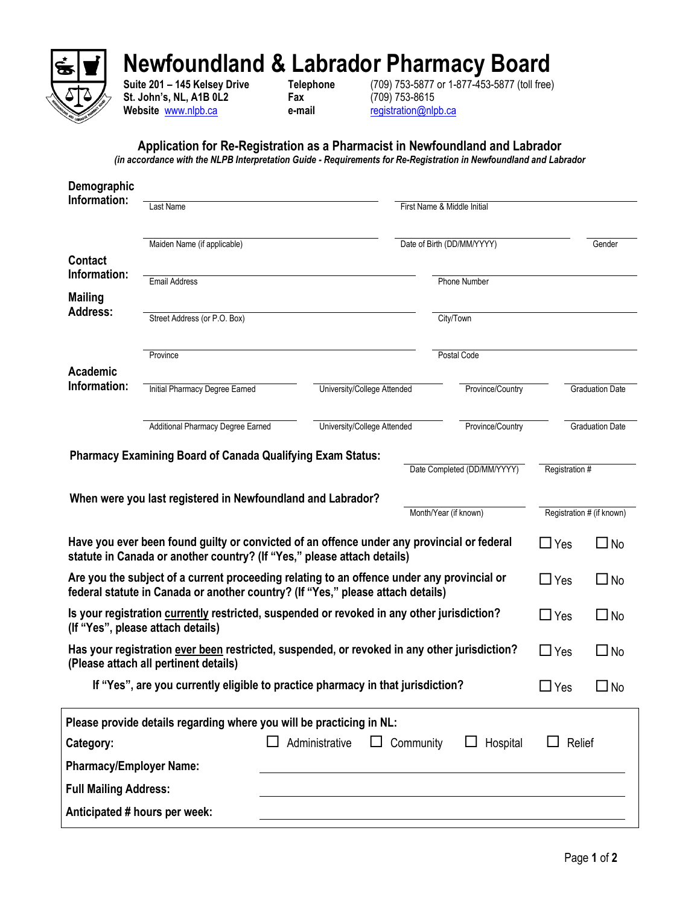

## **Newfoundland & Labrador Pharmacy Board**

**St. John's, NL, A1B 0L2 Fax** (709) 753-8615 **Website** [www.nlpb.ca](http://www.nlpb.ca/) **e-mail** [registration@nlpb.ca](mailto:registration@nlpb.ca)

**Suite 201 – 145 Kelsey Drive Telephone** (709) 753-5877 or 1-877-453-5877 (toll free)

## **Application for Re-Registration as a Pharmacist in Newfoundland and Labrador**

*(in accordance with the NLPB Interpretation Guide - Requirements for Re-Registration in Newfoundland and Labrador*

| Demographic                                                                                                                                                                       |                                                                                                                                                                       |                             |  |                             |                        |                           |  |
|-----------------------------------------------------------------------------------------------------------------------------------------------------------------------------------|-----------------------------------------------------------------------------------------------------------------------------------------------------------------------|-----------------------------|--|-----------------------------|------------------------|---------------------------|--|
| Information:                                                                                                                                                                      | Last Name                                                                                                                                                             |                             |  | First Name & Middle Initial |                        |                           |  |
|                                                                                                                                                                                   | Maiden Name (if applicable)                                                                                                                                           |                             |  | Date of Birth (DD/MM/YYYY)  |                        | Gender                    |  |
| <b>Contact</b><br>Information:                                                                                                                                                    | <b>Email Address</b>                                                                                                                                                  |                             |  | <b>Phone Number</b>         |                        |                           |  |
| <b>Mailing</b><br><b>Address:</b>                                                                                                                                                 |                                                                                                                                                                       |                             |  |                             |                        |                           |  |
|                                                                                                                                                                                   | Street Address (or P.O. Box)                                                                                                                                          |                             |  | City/Town                   |                        |                           |  |
| <b>Academic</b>                                                                                                                                                                   | Province                                                                                                                                                              |                             |  | Postal Code                 |                        |                           |  |
| Information:                                                                                                                                                                      | Initial Pharmacy Degree Earned                                                                                                                                        | University/College Attended |  | Province/Country            | <b>Graduation Date</b> |                           |  |
|                                                                                                                                                                                   | Additional Pharmacy Degree Earned                                                                                                                                     | University/College Attended |  | Province/Country            | <b>Graduation Date</b> |                           |  |
| <b>Pharmacy Examining Board of Canada Qualifying Exam Status:</b><br>Date Completed (DD/MM/YYYY)<br>Registration #<br>When were you last registered in Newfoundland and Labrador? |                                                                                                                                                                       |                             |  |                             |                        |                           |  |
|                                                                                                                                                                                   |                                                                                                                                                                       |                             |  | Month/Year (if known)       |                        | Registration # (if known) |  |
|                                                                                                                                                                                   | Have you ever been found guilty or convicted of an offence under any provincial or federal<br>statute in Canada or another country? (If "Yes," please attach details) |                             |  |                             | $\Box$ Yes             | $\Box$ No                 |  |
| Are you the subject of a current proceeding relating to an offence under any provincial or<br>federal statute in Canada or another country? (If "Yes," please attach details)     |                                                                                                                                                                       |                             |  |                             | $\Box$ Yes             | $\Box$ No                 |  |
| Is your registration currently restricted, suspended or revoked in any other jurisdiction?<br>(If "Yes", please attach details)                                                   |                                                                                                                                                                       |                             |  |                             | $\Box$ Yes             | $\Box$ No                 |  |
| Has your registration ever been restricted, suspended, or revoked in any other jurisdiction?<br>(Please attach all pertinent details)                                             | $\Box$ Yes                                                                                                                                                            | $\square$ No                |  |                             |                        |                           |  |
| If "Yes", are you currently eligible to practice pharmacy in that jurisdiction?                                                                                                   |                                                                                                                                                                       |                             |  |                             |                        | $\square$ No              |  |
|                                                                                                                                                                                   | Please provide details regarding where you will be practicing in NL:                                                                                                  |                             |  |                             |                        |                           |  |
| Category:                                                                                                                                                                         | Community<br>$\Box$ Hospital<br>Relief<br>Administrative<br>$\Box$                                                                                                    |                             |  |                             |                        |                           |  |
| <b>Pharmacy/Employer Name:</b>                                                                                                                                                    |                                                                                                                                                                       |                             |  |                             |                        |                           |  |
| <b>Full Mailing Address:</b>                                                                                                                                                      |                                                                                                                                                                       |                             |  |                             |                        |                           |  |
|                                                                                                                                                                                   | Anticipated # hours per week:                                                                                                                                         |                             |  |                             |                        |                           |  |